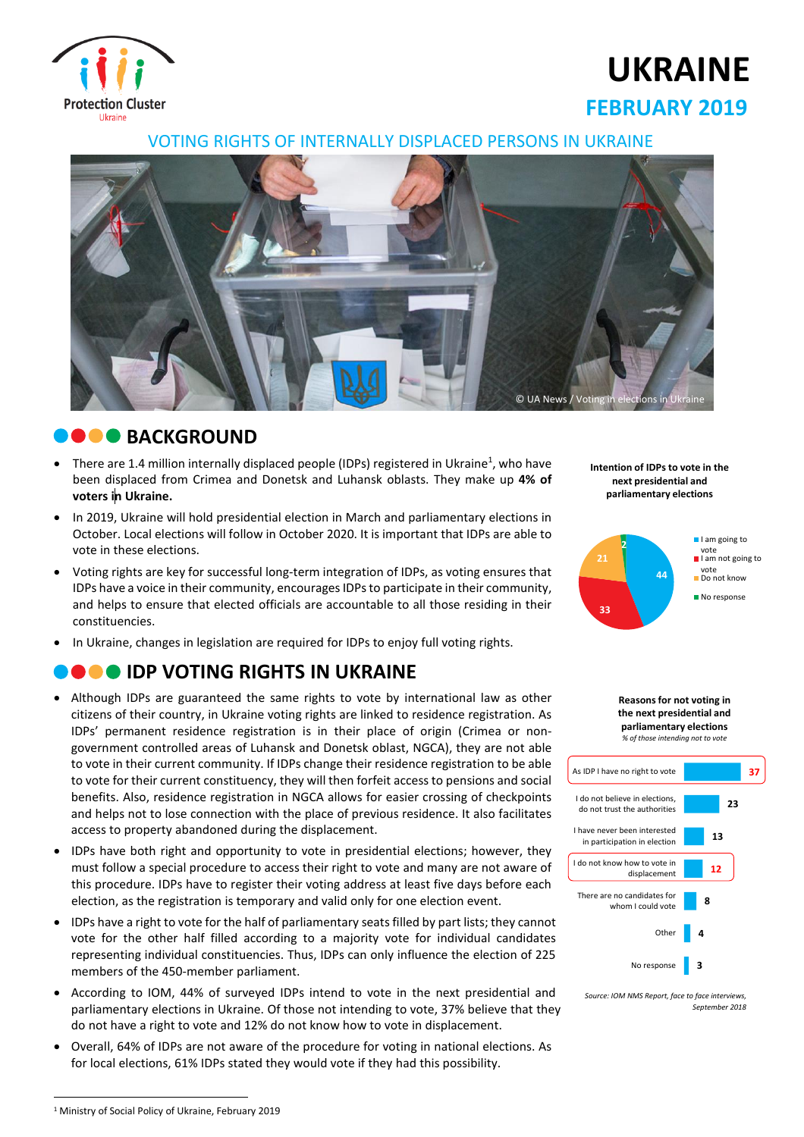

# **UKRAINE FEBRUARY 2019**

#### VOTING RIGHTS OF INTERNALLY DISPLACED PERSONS IN UKRAINE



#### **COO** BACKGROUND

- There are 1.4 million internally displaced people (IDPs) registered in Ukraine<sup>1</sup>, who have been displaced from Crimea and Donetsk and Luhansk oblasts. They make up **4% of voters in Ukraine.**
- In 2019, Ukraine will hold presidential election in March and parliamentary elections in October. Local elections will follow in October 2020. It is important that IDPs are able to vote in these elections.
- Voting rights are key for successful long-term integration of IDPs, as voting ensures that IDPs have a voice in their community, encourages IDPs to participate in their community, and helps to ensure that elected officials are accountable to all those residing in their constituencies.
- In Ukraine, changes in legislation are required for IDPs to enjoy full voting rights.

## **IDP VOTING RIGHTS IN UKRAINE**

- Although IDPs are guaranteed the same rights to vote by international law as other citizens of their country, in Ukraine voting rights are linked to residence registration. As IDPs' permanent residence registration is in their place of origin (Crimea or nongovernment controlled areas of Luhansk and Donetsk oblast, NGCA), they are not able to vote in their current community. If IDPs change their residence registration to be able to vote for their current constituency, they will then forfeit access to pensions and social benefits. Also, residence registration in NGCA allows for easier crossing of checkpoints and helps not to lose connection with the place of previous residence. It also facilitates access to property abandoned during the displacement.
- IDPs have both right and opportunity to vote in presidential elections; however, they must follow a special procedure to access their right to vote and many are not aware of this procedure. IDPs have to register their voting address at least five days before each election, as the registration is temporary and valid only for one election event.
- IDPs have a right to vote for the half of parliamentary seats filled by part lists; they cannot vote for the other half filled according to a majority vote for individual candidates representing individual constituencies. Thus, IDPs can only influence the election of 225 members of the 450-member parliament.
- According to IOM, 44% of surveyed IDPs intend to vote in the next presidential and parliamentary elections in Ukraine. Of those not intending to vote, 37% believe that they do not have a right to vote and 12% do not know how to vote in displacement.
- Overall, 64% of IDPs are not aware of the procedure for voting in national elections. As for local elections, 61% IDPs stated they would vote if they had this possibility.

**Intention of IDPs to vote in the next presidential and parliamentary elections**









**<sup>.</sup>** <sup>1</sup> Ministry of Social Policy of Ukraine, February 2019